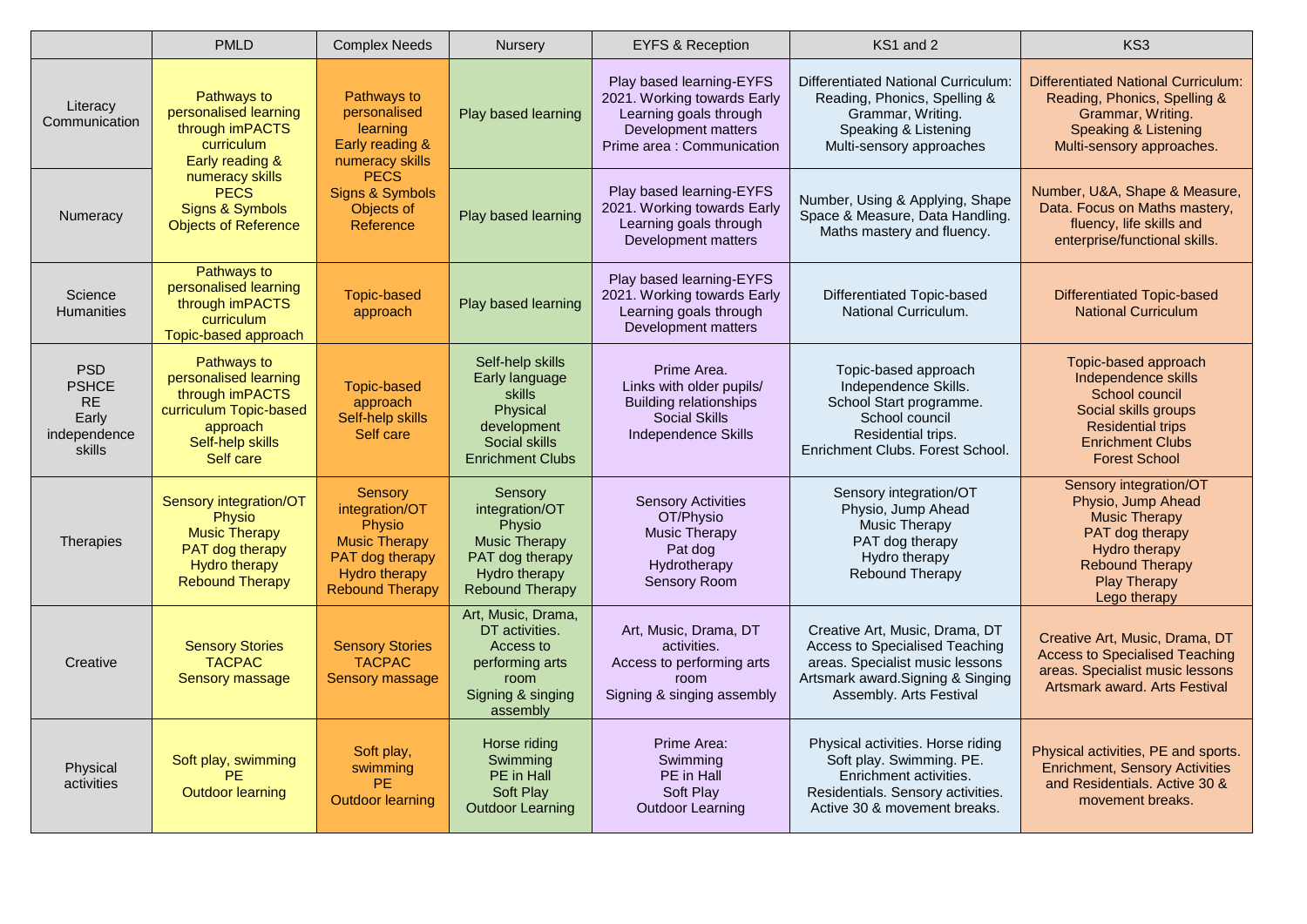|                                                                            | <b>PMLD</b>                                                                                                                                                                  | <b>Complex Needs</b>                                                                                                                                  | Nursery                                                                                                                   | <b>EYFS &amp; Reception</b>                                                                                                           | KS1 and 2                                                                                                                                                                 | KS <sub>3</sub>                                                                                                                                                           |
|----------------------------------------------------------------------------|------------------------------------------------------------------------------------------------------------------------------------------------------------------------------|-------------------------------------------------------------------------------------------------------------------------------------------------------|---------------------------------------------------------------------------------------------------------------------------|---------------------------------------------------------------------------------------------------------------------------------------|---------------------------------------------------------------------------------------------------------------------------------------------------------------------------|---------------------------------------------------------------------------------------------------------------------------------------------------------------------------|
| Literacy<br>Communication                                                  | Pathways to<br>personalised learning<br>through imPACTS<br>curriculum<br>Early reading &<br>numeracy skills<br><b>PECS</b><br>Signs & Symbols<br><b>Objects of Reference</b> | Pathways to<br>personalised<br>learning<br>Early reading &<br>numeracy skills                                                                         | Play based learning                                                                                                       | Play based learning-EYFS<br>2021. Working towards Early<br>Learning goals through<br>Development matters<br>Prime area: Communication | <b>Differentiated National Curriculum:</b><br>Reading, Phonics, Spelling &<br>Grammar, Writing.<br>Speaking & Listening<br>Multi-sensory approaches                       | <b>Differentiated National Curriculum:</b><br>Reading, Phonics, Spelling &<br>Grammar, Writing.<br><b>Speaking &amp; Listening</b><br>Multi-sensory approaches.           |
| Numeracy                                                                   |                                                                                                                                                                              | <b>PECS</b><br>Signs & Symbols<br>Objects of<br>Reference                                                                                             | Play based learning                                                                                                       | Play based learning-EYFS<br>2021. Working towards Early<br>Learning goals through<br>Development matters                              | Number, Using & Applying, Shape<br>Space & Measure, Data Handling.<br>Maths mastery and fluency.                                                                          | Number, U&A, Shape & Measure,<br>Data. Focus on Maths mastery,<br>fluency, life skills and<br>enterprise/functional skills.                                               |
| Science<br><b>Humanities</b>                                               | Pathways to<br>personalised learning<br>through imPACTS<br>curriculum<br>Topic-based approach                                                                                | <b>Topic-based</b><br>approach                                                                                                                        | Play based learning                                                                                                       | Play based learning-EYFS<br>2021. Working towards Early<br>Learning goals through<br>Development matters                              | Differentiated Topic-based<br>National Curriculum.                                                                                                                        | <b>Differentiated Topic-based</b><br><b>National Curriculum</b>                                                                                                           |
| <b>PSD</b><br><b>PSHCE</b><br><b>RE</b><br>Early<br>independence<br>skills | Pathways to<br>personalised learning<br>through imPACTS<br>curriculum Topic-based<br>approach<br>Self-help skills<br>Self care                                               | <b>Topic-based</b><br>approach<br>Self-help skills<br>Self care                                                                                       | Self-help skills<br>Early language<br>skills<br>Physical<br>development<br>Social skills<br><b>Enrichment Clubs</b>       | Prime Area.<br>Links with older pupils/<br><b>Building relationships</b><br><b>Social Skills</b><br>Independence Skills               | Topic-based approach<br>Independence Skills.<br>School Start programme.<br>School council<br>Residential trips.<br>Enrichment Clubs, Forest School.                       | Topic-based approach<br>Independence skills<br>School council<br>Social skills groups<br><b>Residential trips</b><br><b>Enrichment Clubs</b><br><b>Forest School</b>      |
| Therapies                                                                  | Sensory integration/OT<br><b>Physio</b><br><b>Music Therapy</b><br>PAT dog therapy<br><b>Hydro therapy</b><br><b>Rebound Therapy</b>                                         | <b>Sensory</b><br>integration/OT<br><b>Physio</b><br><b>Music Therapy</b><br><b>PAT dog therapy</b><br><b>Hydro therapy</b><br><b>Rebound Therapy</b> | Sensory<br>integration/OT<br>Physio<br><b>Music Therapy</b><br>PAT dog therapy<br>Hydro therapy<br><b>Rebound Therapy</b> | <b>Sensory Activities</b><br>OT/Physio<br><b>Music Therapy</b><br>Pat dog<br>Hydrotherapy<br><b>Sensory Room</b>                      | Sensory integration/OT<br>Physio, Jump Ahead<br>Music Therapy<br>PAT dog therapy<br>Hydro therapy<br><b>Rebound Therapy</b>                                               | Sensory integration/OT<br>Physio, Jump Ahead<br><b>Music Therapy</b><br>PAT dog therapy<br>Hydro therapy<br><b>Rebound Therapy</b><br><b>Play Therapy</b><br>Lego therapy |
| Creative                                                                   | <b>Sensory Stories</b><br><b>TACPAC</b><br><b>Sensory massage</b>                                                                                                            | <b>Sensory Stories</b><br><b>TACPAC</b><br>Sensory massage                                                                                            | Art, Music, Drama,<br>DT activities.<br>Access to<br>performing arts<br>room<br>Signing & singing<br>assembly             | Art, Music, Drama, DT<br>activities.<br>Access to performing arts<br>room<br>Signing & singing assembly                               | Creative Art, Music, Drama, DT<br><b>Access to Specialised Teaching</b><br>areas. Specialist music lessons<br>Artsmark award.Signing & Singing<br>Assembly. Arts Festival | Creative Art, Music, Drama, DT<br><b>Access to Specialised Teaching</b><br>areas. Specialist music lessons<br><b>Artsmark award, Arts Festival</b>                        |
| Physical<br>activities                                                     | Soft play, swimming<br><b>PE</b><br><b>Outdoor learning</b>                                                                                                                  | Soft play,<br>swimming<br><b>PE</b><br><b>Outdoor learning</b>                                                                                        | Horse riding<br>Swimming<br>PE in Hall<br>Soft Play<br><b>Outdoor Learning</b>                                            | Prime Area:<br>Swimming<br>PE in Hall<br>Soft Play<br><b>Outdoor Learning</b>                                                         | Physical activities. Horse riding<br>Soft play. Swimming. PE.<br>Enrichment activities.<br>Residentials. Sensory activities.<br>Active 30 & movement breaks.              | Physical activities, PE and sports.<br><b>Enrichment, Sensory Activities</b><br>and Residentials. Active 30 &<br>movement breaks.                                         |